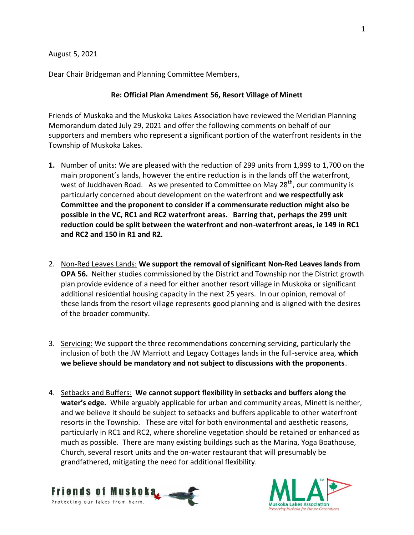August 5, 2021

Dear Chair Bridgeman and Planning Committee Members,

## **Re: Official Plan Amendment 56, Resort Village of Minett**

Friends of Muskoka and the Muskoka Lakes Association have reviewed the Meridian Planning Memorandum dated July 29, 2021 and offer the following comments on behalf of our supporters and members who represent a significant portion of the waterfront residents in the Township of Muskoka Lakes.

- **1.** Number of units: We are pleased with the reduction of 299 units from 1,999 to 1,700 on the main proponent's lands, however the entire reduction is in the lands off the waterfront, west of Juddhaven Road. As we presented to Committee on May 28<sup>th</sup>, our community is particularly concerned about development on the waterfront and **we respectfully ask Committee and the proponent to consider if a commensurate reduction might also be possible in the VC, RC1 and RC2 waterfront areas. Barring that, perhaps the 299 unit reduction could be split between the waterfront and non-waterfront areas, ie 149 in RC1 and RC2 and 150 in R1 and R2.**
- 2. Non-Red Leaves Lands: **We support the removal of significant Non-Red Leaves lands from OPA 56.** Neither studies commissioned by the District and Township nor the District growth plan provide evidence of a need for either another resort village in Muskoka or significant additional residential housing capacity in the next 25 years. In our opinion, removal of these lands from the resort village represents good planning and is aligned with the desires of the broader community.
- 3. Servicing: We support the three recommendations concerning servicing, particularly the inclusion of both the JW Marriott and Legacy Cottages lands in the full-service area, **which we believe should be mandatory and not subject to discussions with the proponents**.
- 4. Setbacks and Buffers: **We cannot support flexibility in setbacks and buffers along the water's edge.** While arguably applicable for urban and community areas, Minett is neither, and we believe it should be subject to setbacks and buffers applicable to other waterfront resorts in the Township. These are vital for both environmental and aesthetic reasons, particularly in RC1 and RC2, where shoreline vegetation should be retained or enhanced as much as possible. There are many existing buildings such as the Marina, Yoga Boathouse, Church, several resort units and the on-water restaurant that will presumably be grandfathered, mitigating the need for additional flexibility.



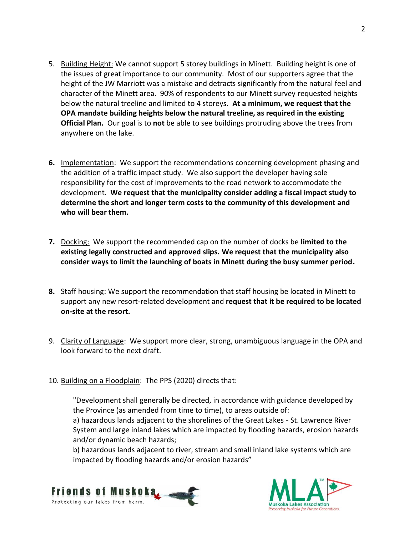- 5. Building Height: We cannot support 5 storey buildings in Minett. Building height is one of the issues of great importance to our community. Most of our supporters agree that the height of the JW Marriott was a mistake and detracts significantly from the natural feel and character of the Minett area. 90% of respondents to our Minett survey requested heights below the natural treeline and limited to 4 storeys. **At a minimum, we request that the OPA mandate building heights below the natural treeline, as required in the existing Official Plan.** Our goal is to **not** be able to see buildings protruding above the trees from anywhere on the lake.
- **6.** Implementation: We support the recommendations concerning development phasing and the addition of a traffic impact study. We also support the developer having sole responsibility for the cost of improvements to the road network to accommodate the development. **We request that the municipality consider adding a fiscal impact study to determine the short and longer term costs to the community of this development and who will bear them.**
- **7.** Docking: We support the recommended cap on the number of docks be **limited to the existing legally constructed and approved slips. We request that the municipality also consider ways to limit the launching of boats in Minett during the busy summer period.**
- **8.** Staff housing: We support the recommendation that staff housing be located in Minett to support any new resort-related development and **request that it be required to be located on-site at the resort.**
- 9. Clarity of Language: We support more clear, strong, unambiguous language in the OPA and look forward to the next draft.
- 10. Building on a Floodplain: The PPS (2020) directs that:

"Development shall generally be directed, in accordance with guidance developed by the Province (as amended from time to time), to areas outside of:

a) hazardous lands adjacent to the shorelines of the Great Lakes - St. Lawrence River System and large inland lakes which are impacted by flooding hazards, erosion hazards and/or dynamic beach hazards;

b) hazardous lands adjacent to river, stream and small inland lake systems which are impacted by flooding hazards and/or erosion hazards"



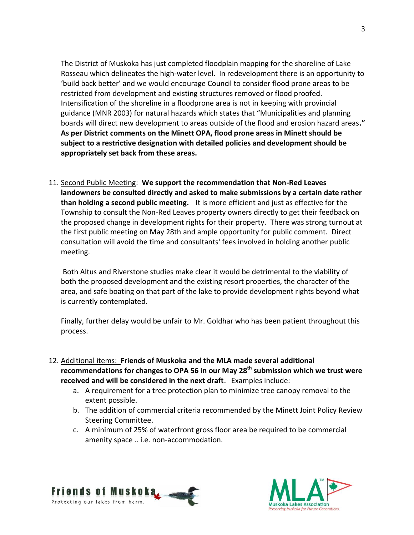The District of Muskoka has just completed floodplain mapping for the shoreline of Lake Rosseau which delineates the high-water level. In redevelopment there is an opportunity to 'build back better' and we would encourage Council to consider flood prone areas to be restricted from development and existing structures removed or flood proofed. Intensification of the shoreline in a floodprone area is not in keeping with provincial guidance (MNR 2003) for natural hazards which states that "Municipalities and planning boards will direct new development to areas outside of the flood and erosion hazard areas**." As per District comments on the Minett OPA, flood prone areas in Minett should be subject to a restrictive designation with detailed policies and development should be appropriately set back from these areas.** 

11. Second Public Meeting: **We support the recommendation that Non-Red Leaves landowners be consulted directly and asked to make submissions by a certain date rather than holding a second public meeting.** It is more efficient and just as effective for the Township to consult the Non-Red Leaves property owners directly to get their feedback on the proposed change in development rights for their property. There was strong turnout at the first public meeting on May 28th and ample opportunity for public comment. Direct consultation will avoid the time and consultants' fees involved in holding another public meeting.

Both Altus and Riverstone studies make clear it would be detrimental to the viability of both the proposed development and the existing resort properties, the character of the area, and safe boating on that part of the lake to provide development rights beyond what is currently contemplated.

Finally, further delay would be unfair to Mr. Goldhar who has been patient throughout this process.

- 12. Additional items: **Friends of Muskoka and the MLA made several additional recommendations for changes to OPA 56 in our May 28th submission which we trust were received and will be considered in the next draft**. Examples include:
	- a. A requirement for a tree protection plan to minimize tree canopy removal to the extent possible.
	- b. The addition of commercial criteria recommended by the Minett Joint Policy Review Steering Committee.
	- c. A minimum of 25% of waterfront gross floor area be required to be commercial amenity space .. i.e. non-accommodation.